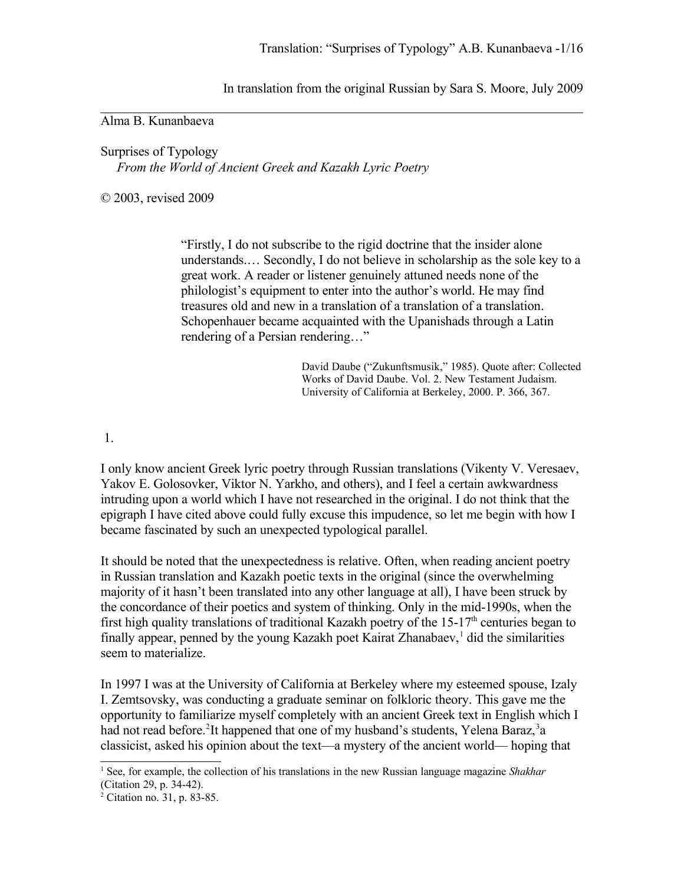In translation from the original Russian by Sara S. Moore, July 2009

## Alma B. Kunanbaeva

Surprises of Typology *From the World of Ancient Greek and Kazakh Lyric Poetry*

© 2003, revised 2009

"Firstly, I do not subscribe to the rigid doctrine that the insider alone understands.… Secondly, I do not believe in scholarship as the sole key to a great work. A reader or listener genuinely attuned needs none of the philologist's equipment to enter into the author's world. He may find treasures old and new in a translation of a translation of a translation. Schopenhauer became acquainted with the Upanishads through a Latin rendering of a Persian rendering…"

> David Daube ("Zukunftsmusik," 1985). Quote after: Collected Works of David Daube. Vol. 2. New Testament Judaism. University of California at Berkeley, 2000. P. 366, 367.

1.

I only know ancient Greek lyric poetry through Russian translations (Vikenty V. Veresaev, Yakov E. Golosovker, Viktor N. Yarkho, and others), and I feel a certain awkwardness intruding upon a world which I have not researched in the original. I do not think that the epigraph I have cited above could fully excuse this impudence, so let me begin with how I became fascinated by such an unexpected typological parallel.

It should be noted that the unexpectedness is relative. Often, when reading ancient poetry in Russian translation and Kazakh poetic texts in the original (since the overwhelming majority of it hasn't been translated into any other language at all), I have been struck by the concordance of their poetics and system of thinking. Only in the mid-1990s, when the first high quality translations of traditional Kazakh poetry of the  $15-17<sup>th</sup>$  centuries began to finally appear, penned by the young Kazakh poet Kairat Zhanabaev,<sup>[1](#page-0-0)</sup> did the similarities seem to materialize.

In 1997 I was at the University of California at Berkeley where my esteemed spouse, Izaly I. Zemtsovsky, was conducting a graduate seminar on folkloric theory. This gave me the opportunity to familiarize myself completely with an ancient Greek text in English which I had not read before.<sup>[2](#page-0-1)</sup>It happened that one of my husband's students, Yelena Baraz,<sup>[3](#page-1-0)</sup>a classicist, asked his opinion about the text—a mystery of the ancient world— hoping that

<span id="page-0-0"></span><sup>&</sup>lt;sup>1</sup> See, for example, the collection of his translations in the new Russian language magazine *Shakhar* (Citation 29, p. 34-42).

<span id="page-0-1"></span><sup>2</sup> Citation no. 31, p. 83-85.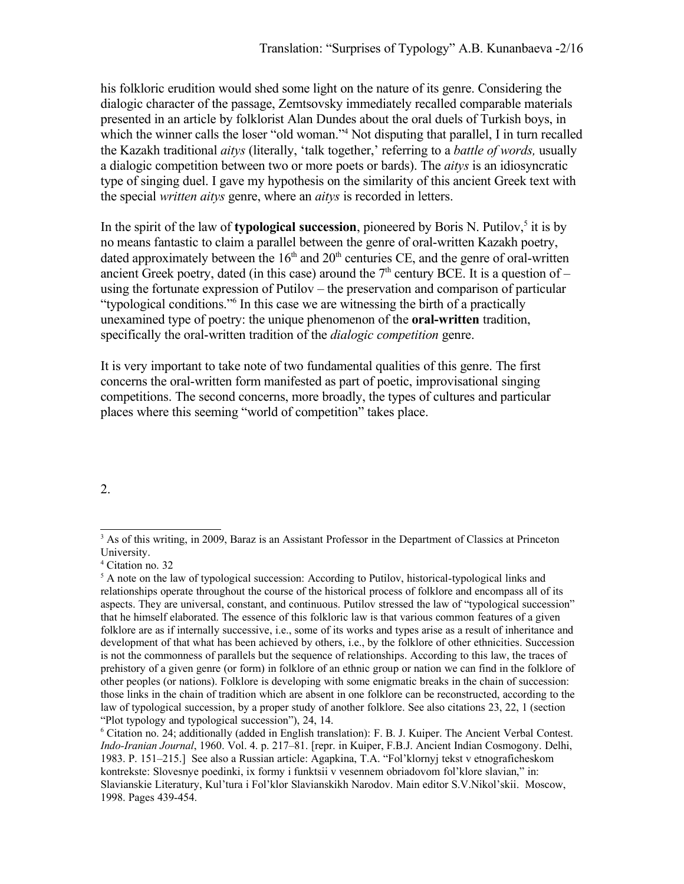his folkloric erudition would shed some light on the nature of its genre. Considering the dialogic character of the passage, Zemtsovsky immediately recalled comparable materials presented in an article by folklorist Alan Dundes about the oral duels of Turkish boys, in which the winner calls the loser "old woman."<sup>[4](#page-1-1)</sup> Not disputing that parallel, I in turn recalled the Kazakh traditional *aitys* (literally, 'talk together,' referring to a *battle of words,* usually a dialogic competition between two or more poets or bards). The *aitys* is an idiosyncratic type of singing duel. I gave my hypothesis on the similarity of this ancient Greek text with the special *written aitys* genre, where an *aitys* is recorded in letters.

In the spirit of the law of **typological succession**, pioneered by Boris N. Putilov,<sup>[5](#page-1-2)</sup> it is by no means fantastic to claim a parallel between the genre of oral-written Kazakh poetry, dated approximately between the  $16<sup>th</sup>$  and  $20<sup>th</sup>$  centuries CE, and the genre of oral-written ancient Greek poetry, dated (in this case) around the  $7<sup>th</sup>$  century BCE. It is a question of – using the fortunate expression of Putilov – the preservation and comparison of particular "typological conditions."[6](#page-1-3) In this case we are witnessing the birth of a practically unexamined type of poetry: the unique phenomenon of the **oral-written** tradition, specifically the oral-written tradition of the *dialogic competition* genre.

It is very important to take note of two fundamental qualities of this genre. The first concerns the oral-written form manifested as part of poetic, improvisational singing competitions. The second concerns, more broadly, the types of cultures and particular places where this seeming "world of competition" takes place.

2.

<span id="page-1-0"></span><sup>&</sup>lt;sup>3</sup> As of this writing, in 2009, Baraz is an Assistant Professor in the Department of Classics at Princeton University.

<span id="page-1-1"></span><sup>4</sup> Citation no. 32

<span id="page-1-2"></span> $<sup>5</sup>$  A note on the law of typological succession: According to Putilov, historical-typological links and</sup> relationships operate throughout the course of the historical process of folklore and encompass all of its aspects. They are universal, constant, and continuous. Putilov stressed the law of "typological succession" that he himself elaborated. The essence of this folkloric law is that various common features of a given folklore are as if internally successive, i.e., some of its works and types arise as a result of inheritance and development of that what has been achieved by others, i.e., by the folklore of other ethnicities. Succession is not the commonness of parallels but the sequence of relationships. According to this law, the traces of prehistory of a given genre (or form) in folklore of an ethnic group or nation we can find in the folklore of other peoples (or nations). Folklore is developing with some enigmatic breaks in the chain of succession: those links in the chain of tradition which are absent in one folklore can be reconstructed, according to the law of typological succession, by a proper study of another folklore. See also citations 23, 22, 1 (section "Plot typology and typological succession"), 24, 14.

<span id="page-1-3"></span><sup>6</sup> Citation no. 24; additionally (added in English translation): F. B. J. Kuiper. The Ancient Verbal Contest. *Indo-Iranian Journal*, 1960. Vol. 4. p. 217–81. [repr. in Kuiper, F.B.J. Ancient Indian Cosmogony. Delhi, 1983. P. 151–215.] See also a Russian article: Agapkina, T.A. "Fol'klornyj tekst v etnograficheskom kontrekste: Slovesnye poedinki, ix formy i funktsii v vesennem obriadovom fol'klore slavian," in: Slavianskie Literatury, Kul'tura i Fol'klor Slavianskikh Narodov. Main editor S.V.Nikol'skii. Moscow, 1998. Pages 439-454.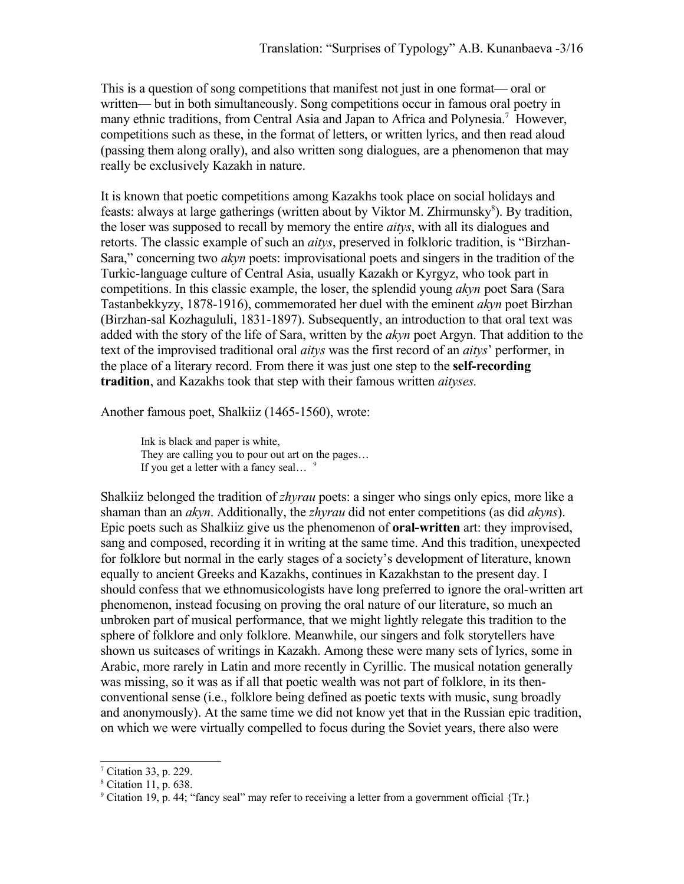This is a question of song competitions that manifest not just in one format— oral or written— but in both simultaneously. Song competitions occur in famous oral poetry in many ethnic traditions, from Central Asia and Japan to Africa and Polynesia.<sup>[7](#page-2-0)</sup> However, competitions such as these, in the format of letters, or written lyrics, and then read aloud (passing them along orally), and also written song dialogues, are a phenomenon that may really be exclusively Kazakh in nature.

It is known that poetic competitions among Kazakhs took place on social holidays and feasts: always at large gatherings (written about by Viktor M. Zhirmunsky<sup>[8](#page-2-1)</sup>). By tradition, the loser was supposed to recall by memory the entire *aitys*, with all its dialogues and retorts. The classic example of such an *aitys*, preserved in folkloric tradition, is "Birzhan-Sara," concerning two *akyn* poets: improvisational poets and singers in the tradition of the Turkic-language culture of Central Asia, usually Kazakh or Kyrgyz, who took part in competitions. In this classic example, the loser, the splendid young *akyn* poet Sara (Sara Tastanbekkyzy, 1878-1916), commemorated her duel with the eminent *akyn* poet Birzhan (Birzhan-sal Kozhagululi, 1831-1897). Subsequently, an introduction to that oral text was added with the story of the life of Sara, written by the *akyn* poet Argyn. That addition to the text of the improvised traditional oral *aitys* was the first record of an *aitys*' performer, in the place of a literary record. From there it was just one step to the **self-recording tradition**, and Kazakhs took that step with their famous written *aityses.*

Another famous poet, Shalkiiz (1465-1560), wrote:

Ink is black and paper is white, They are calling you to pour out art on the pages… If you get a letter with a fancy seal...  $\frac{9}{5}$  $\frac{9}{5}$  $\frac{9}{5}$ 

Shalkiiz belonged the tradition of *zhyrau* poets: a singer who sings only epics, more like a shaman than an *akyn*. Additionally, the *zhyrau* did not enter competitions (as did *akyns*). Epic poets such as Shalkiiz give us the phenomenon of **oral-written** art: they improvised, sang and composed, recording it in writing at the same time. And this tradition, unexpected for folklore but normal in the early stages of a society's development of literature, known equally to ancient Greeks and Kazakhs, continues in Kazakhstan to the present day. I should confess that we ethnomusicologists have long preferred to ignore the oral-written art phenomenon, instead focusing on proving the oral nature of our literature, so much an unbroken part of musical performance, that we might lightly relegate this tradition to the sphere of folklore and only folklore. Meanwhile, our singers and folk storytellers have shown us suitcases of writings in Kazakh. Among these were many sets of lyrics, some in Arabic, more rarely in Latin and more recently in Cyrillic. The musical notation generally was missing, so it was as if all that poetic wealth was not part of folklore, in its thenconventional sense (i.e., folklore being defined as poetic texts with music, sung broadly and anonymously). At the same time we did not know yet that in the Russian epic tradition, on which we were virtually compelled to focus during the Soviet years, there also were

<span id="page-2-0"></span><sup>7</sup> Citation 33, p. 229.

<span id="page-2-1"></span><sup>8</sup> Citation 11, p. 638.

<span id="page-2-2"></span><sup>9</sup> Citation 19, p. 44; "fancy seal" may refer to receiving a letter from a government official {Tr.}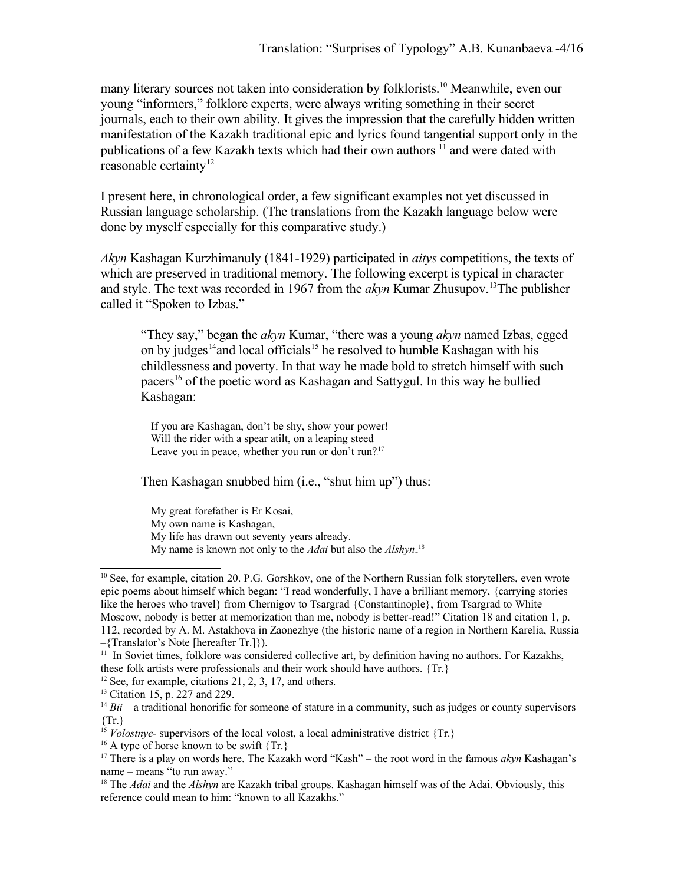many literary sources not taken into consideration by folklorists.<sup>[10](#page-3-0)</sup> Meanwhile, even our young "informers," folklore experts, were always writing something in their secret journals, each to their own ability. It gives the impression that the carefully hidden written manifestation of the Kazakh traditional epic and lyrics found tangential support only in the publications of a few Kazakh texts which had their own authors <sup>[11](#page-3-1)</sup> and were dated with reasonable certainty<sup>[12](#page-3-2)</sup>

I present here, in chronological order, a few significant examples not yet discussed in Russian language scholarship. (The translations from the Kazakh language below were done by myself especially for this comparative study.)

*Akyn* Kashagan Kurzhimanuly (1841-1929) participated in *aitys* competitions, the texts of which are preserved in traditional memory. The following excerpt is typical in character and style. The text was recorded in 1967 from the *akyn* Kumar Zhusupov.<sup>[13](#page-3-3)</sup>The publisher called it "Spoken to Izbas."

"They say," began the *akyn* Kumar, "there was a young *akyn* named Izbas, egged on by judges<sup>[14](#page-3-4)</sup> and local officials<sup>[15](#page-3-5)</sup> he resolved to humble Kashagan with his childlessness and poverty. In that way he made bold to stretch himself with such pacers<sup>[16](#page-3-6)</sup> of the poetic word as Kashagan and Sattygul. In this way he bullied Kashagan:

If you are Kashagan, don't be shy, show your power! Will the rider with a spear atilt, on a leaping steed Leave you in peace, whether you run or don't run?<sup>[17](#page-3-7)</sup>

Then Kashagan snubbed him (i.e., "shut him up") thus:

My great forefather is Er Kosai,

My own name is Kashagan,

My life has drawn out seventy years already.

<span id="page-3-2"></span> $12$  See, for example, citations 21, 2, 3, 17, and others.

My name is known not only to the *Adai* but also the *Alshyn*.<sup>[18](#page-3-8)</sup>

<span id="page-3-0"></span><sup>&</sup>lt;sup>10</sup> See, for example, citation 20. P.G. Gorshkov, one of the Northern Russian folk storytellers, even wrote epic poems about himself which began: "I read wonderfully, I have a brilliant memory, {carrying stories like the heroes who travel} from Chernigov to Tsargrad {Constantinople}, from Tsargrad to White Moscow, nobody is better at memorization than me, nobody is better-read!" Citation 18 and citation 1, p. 112, recorded by A. M. Astakhova in Zaonezhye (the historic name of a region in Northern Karelia, Russia

<sup>–{</sup>Translator's Note [hereafter Tr.]}).

<span id="page-3-1"></span> $11$  In Soviet times, folklore was considered collective art, by definition having no authors. For Kazakhs, these folk artists were professionals and their work should have authors. {Tr.}

<span id="page-3-3"></span><sup>13</sup> Citation 15, p. 227 and 229.

<span id="page-3-4"></span><sup>&</sup>lt;sup>14</sup> *Bii* – a traditional honorific for someone of stature in a community, such as judges or county supervisors  $\{Tr.\}$ 

<span id="page-3-5"></span><sup>&</sup>lt;sup>15</sup> *Volostnye*- supervisors of the local volost, a local administrative district  $\{Tr. \}$ 

<span id="page-3-6"></span><sup>&</sup>lt;sup>16</sup> A type of horse known to be swift  $\{Tr.\}$ 

<span id="page-3-7"></span><sup>17</sup> There is a play on words here. The Kazakh word "Kash" – the root word in the famous *akyn* Kashagan's name – means "to run away."

<span id="page-3-8"></span><sup>&</sup>lt;sup>18</sup> The *Adai* and the *Alshyn* are Kazakh tribal groups. Kashagan himself was of the Adai. Obviously, this reference could mean to him: "known to all Kazakhs."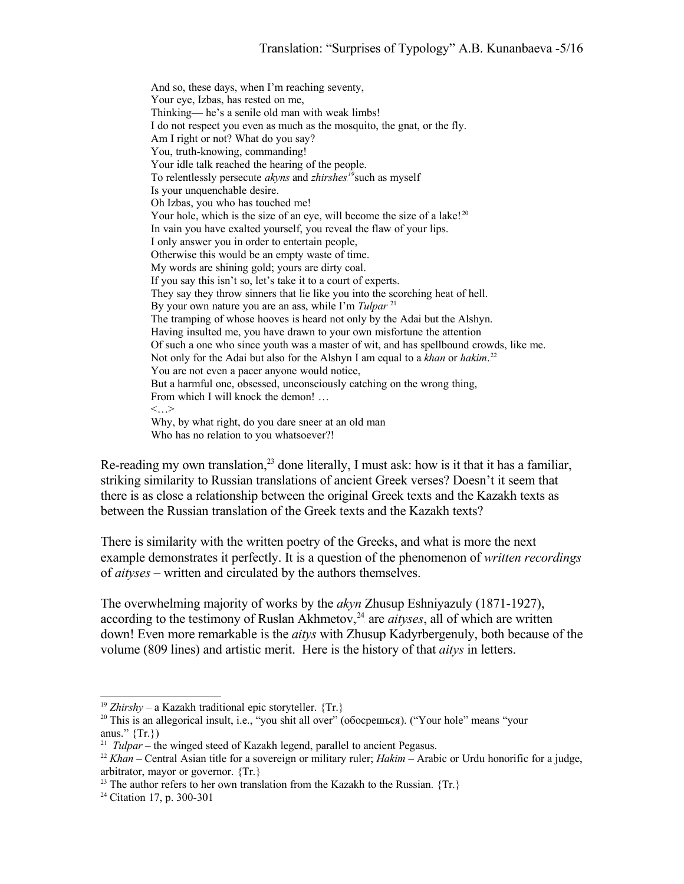And so, these days, when I'm reaching seventy, Your eye, Izbas, has rested on me, Thinking— he's a senile old man with weak limbs! I do not respect you even as much as the mosquito, the gnat, or the fly. Am I right or not? What do you say? You, truth-knowing, commanding! Your idle talk reached the hearing of the people. To relentlessly persecute *akyns* and *zhirshes*<sup>[19](#page-4-0)</sup> such as myself Is your unquenchable desire. Oh Izbas, you who has touched me! Your hole, which is the size of an eye, will become the size of a lake!<sup>[20](#page-4-1)</sup> In vain you have exalted yourself, you reveal the flaw of your lips. I only answer you in order to entertain people, Otherwise this would be an empty waste of time. My words are shining gold; yours are dirty coal. If you say this isn't so, let's take it to a court of experts. They say they throw sinners that lie like you into the scorching heat of hell. By your own nature you are an ass, while I'm *Tulpar* [21](#page-4-2) The tramping of whose hooves is heard not only by the Adai but the Alshyn. Having insulted me, you have drawn to your own misfortune the attention Of such a one who since youth was a master of wit, and has spellbound crowds, like me. Not only for the Adai but also for the Alshyn I am equal to a *khan* or *hakim*.<sup>[22](#page-4-3)</sup> You are not even a pacer anyone would notice, But a harmful one, obsessed, unconsciously catching on the wrong thing, From which I will knock the demon! …  $\langle \cdot, \cdot \rangle$ Why, by what right, do you dare sneer at an old man Who has no relation to you whatsoever?!

Re-reading my own translation, $23$  done literally, I must ask: how is it that it has a familiar, striking similarity to Russian translations of ancient Greek verses? Doesn't it seem that there is as close a relationship between the original Greek texts and the Kazakh texts as between the Russian translation of the Greek texts and the Kazakh texts?

There is similarity with the written poetry of the Greeks, and what is more the next example demonstrates it perfectly. It is a question of the phenomenon of *written recordings* of *aityses* – written and circulated by the authors themselves.

The overwhelming majority of works by the *akyn* Zhusup Eshniyazuly (1871-1927), according to the testimony of Ruslan Akhmetov,<sup>[24](#page-4-5)</sup> are *aityses*, all of which are written down! Even more remarkable is the *aitys* with Zhusup Kadyrbergenuly, both because of the volume (809 lines) and artistic merit. Here is the history of that *aitys* in letters.

<span id="page-4-4"></span> $^{23}$  The author refers to her own translation from the Kazakh to the Russian.  $\{Tr.\}$ 

<span id="page-4-0"></span><sup>&</sup>lt;sup>19</sup> *Zhirshy* – a Kazakh traditional epic storyteller.  $\{Tr. \}$ 

<span id="page-4-1"></span><sup>&</sup>lt;sup>20</sup> This is an allegorical insult, i.e., "you shit all over" (обосрешься). ("Your hole" means "your anus."  $\{Tr.\}$ 

<span id="page-4-2"></span><sup>&</sup>lt;sup>21</sup> *Tulpar* – the winged steed of Kazakh legend, parallel to ancient Pegasus.

<span id="page-4-3"></span><sup>22</sup> *Khan* – Central Asian title for a sovereign or military ruler; *Hakim* – Arabic or Urdu honorific for a judge, arbitrator, mayor or governor. {Tr.}

<span id="page-4-5"></span><sup>24</sup> Citation 17, p. 300-301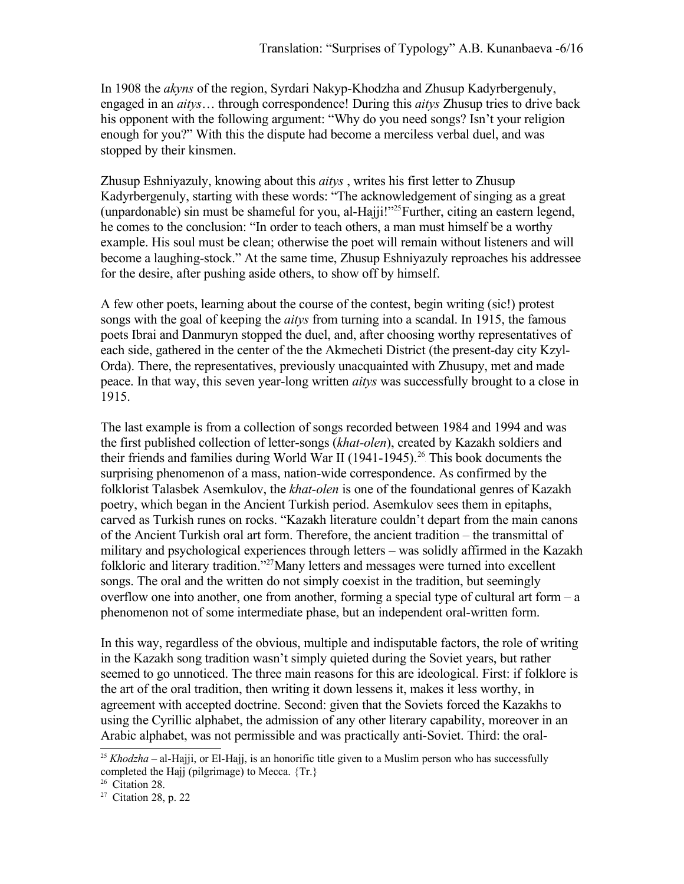In 1908 the *akyns* of the region, Syrdari Nakyp-Khodzha and Zhusup Kadyrbergenuly, engaged in an *aitys*… through correspondence! During this *aitys* Zhusup tries to drive back his opponent with the following argument: "Why do you need songs? Isn't your religion enough for you?" With this the dispute had become a merciless verbal duel, and was stopped by their kinsmen.

Zhusup Eshniyazuly, knowing about this *aitys* , writes his first letter to Zhusup Kadyrbergenuly, starting with these words: "The acknowledgement of singing as a great (unpardonable) sin must be shameful for you, al-Hajji!"<sup>[25](#page-5-0)</sup> Further, citing an eastern legend, he comes to the conclusion: "In order to teach others, a man must himself be a worthy example. His soul must be clean; otherwise the poet will remain without listeners and will become a laughing-stock." At the same time, Zhusup Eshniyazuly reproaches his addressee for the desire, after pushing aside others, to show off by himself.

A few other poets, learning about the course of the contest, begin writing (sic!) protest songs with the goal of keeping the *aitys* from turning into a scandal. In 1915, the famous poets Ibrai and Danmuryn stopped the duel, and, after choosing worthy representatives of each side, gathered in the center of the the Akmecheti District (the present-day city Kzyl-Orda). There, the representatives, previously unacquainted with Zhusupy, met and made peace. In that way, this seven year-long written *aitys* was successfully brought to a close in 1915.

The last example is from a collection of songs recorded between 1984 and 1994 and was the first published collection of letter-songs (*khat-olen*), created by Kazakh soldiers and their friends and families during World War II (1941-1945).<sup>[26](#page-5-1)</sup> This book documents the surprising phenomenon of a mass, nation-wide correspondence. As confirmed by the folklorist Talasbek Asemkulov, the *khat-olen* is one of the foundational genres of Kazakh poetry, which began in the Ancient Turkish period. Asemkulov sees them in epitaphs, carved as Turkish runes on rocks. "Kazakh literature couldn't depart from the main canons of the Ancient Turkish oral art form. Therefore, the ancient tradition – the transmittal of military and psychological experiences through letters – was solidly affirmed in the Kazakh folkloric and literary tradition."<sup>[27](#page-5-2)</sup>Many letters and messages were turned into excellent songs. The oral and the written do not simply coexist in the tradition, but seemingly overflow one into another, one from another, forming a special type of cultural art form  $-a$ phenomenon not of some intermediate phase, but an independent oral-written form.

In this way, regardless of the obvious, multiple and indisputable factors, the role of writing in the Kazakh song tradition wasn't simply quieted during the Soviet years, but rather seemed to go unnoticed. The three main reasons for this are ideological. First: if folklore is the art of the oral tradition, then writing it down lessens it, makes it less worthy, in agreement with accepted doctrine. Second: given that the Soviets forced the Kazakhs to using the Cyrillic alphabet, the admission of any other literary capability, moreover in an Arabic alphabet, was not permissible and was practically anti-Soviet. Third: the oral-

<span id="page-5-0"></span><sup>&</sup>lt;sup>25</sup> *Khodzha* – al-Hajji, or El-Hajj, is an honorific title given to a Muslim person who has successfully completed the Hajj (pilgrimage) to Mecca. {Tr.}

<span id="page-5-1"></span><sup>&</sup>lt;sup>26</sup> Citation 28.

<span id="page-5-2"></span><sup>27</sup> Citation 28, p. 22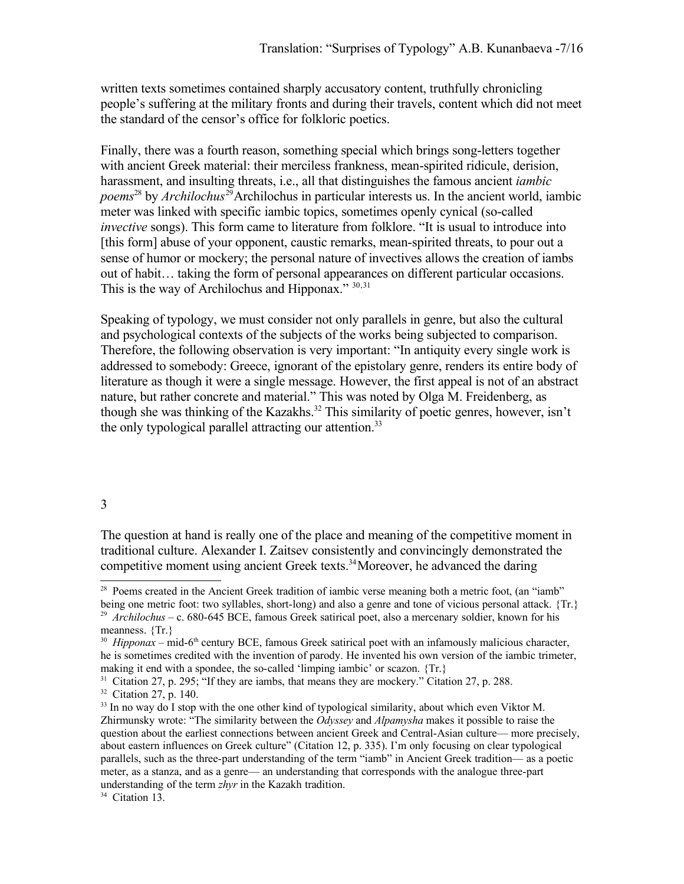written texts sometimes contained sharply accusatory content, truthfully chronicling people's suffering at the military fronts and during their travels, content which did not meet the standard of the censor's office for folkloric poetics.

Finally, there was a fourth reason, something special which brings song-letters together with ancient Greek material: their merciless frankness, mean-spirited ridicule, derision, harassment, and insulting threats, i.e., all that distinguishes the famous ancient *iambic* poems<sup>[28](#page-6-0)</sup> by *Archilochus*<sup>[29](#page-6-1)</sup> Archilochus in particular interests us. In the ancient world, iambic meter was linked with specific iambic topics, sometimes openly cynical (so-called *invective* songs). This form came to literature from folklore. "It is usual to introduce into [this form] abuse of your opponent, caustic remarks, mean-spirited threats, to pour out a sense of humor or mockery; the personal nature of invectives allows the creation of iambs out of habit… taking the form of personal appearances on different particular occasions. This is the way of Archilochus and Hipponax." [30](#page-6-2),[31](#page-6-3)

Speaking of typology, we must consider not only parallels in genre, but also the cultural and psychological contexts of the subjects of the works being subjected to comparison. Therefore, the following observation is very important: "In antiquity every single work is addressed to somebody: Greece, ignorant of the epistolary genre, renders its entire body of literature as though it were a single message. However, the first appeal is not of an abstract nature, but rather concrete and material." This was noted by Olga M. Freidenberg, as though she was thinking of the Kazakhs.<sup>[32](#page-6-4)</sup> This similarity of poetic genres, however, isn't the only typological parallel attracting our attention.<sup>[33](#page-6-5)</sup>

## 3

The question at hand is really one of the place and meaning of the competitive moment in traditional culture. Alexander I. Zaitsev consistently and convincingly demonstrated the competitive moment using ancient Greek texts.<sup>[34](#page-6-6)</sup>Moreover, he advanced the daring

<span id="page-6-0"></span><sup>&</sup>lt;sup>28</sup> Poems created in the Ancient Greek tradition of iambic verse meaning both a metric foot, (an "iamb" being one metric foot: two syllables, short-long) and also a genre and tone of vicious personal attack. {Tr.}

<span id="page-6-1"></span><sup>29</sup> *Archilochus* – c. 680-645 BCE, famous Greek satirical poet, also a mercenary soldier, known for his meanness. {Tr.}

<span id="page-6-2"></span> $30$  *Hipponax* – mid-6<sup>th</sup> century BCE, famous Greek satirical poet with an infamously malicious character, he is sometimes credited with the invention of parody. He invented his own version of the iambic trimeter, making it end with a spondee, the so-called 'limping iambic' or scazon. {Tr.}

<span id="page-6-3"></span><sup>&</sup>lt;sup>31</sup> Citation 27, p. 295; "If they are iambs, that means they are mockery." Citation 27, p. 288.

<span id="page-6-4"></span><sup>32</sup> Citation 27, p. 140.

<span id="page-6-5"></span> $33$  In no way do I stop with the one other kind of typological similarity, about which even Viktor M. Zhirmunsky wrote: "The similarity between the *Odyssey* and *Alpamysha* makes it possible to raise the question about the earliest connections between ancient Greek and Central-Asian culture— more precisely, about eastern influences on Greek culture" (Citation 12, p. 335). I'm only focusing on clear typological parallels, such as the three-part understanding of the term "iamb" in Ancient Greek tradition— as a poetic meter, as a stanza, and as a genre— an understanding that corresponds with the analogue three-part understanding of the term *zhyr* in the Kazakh tradition.

<span id="page-6-6"></span><sup>&</sup>lt;sup>34</sup> Citation 13.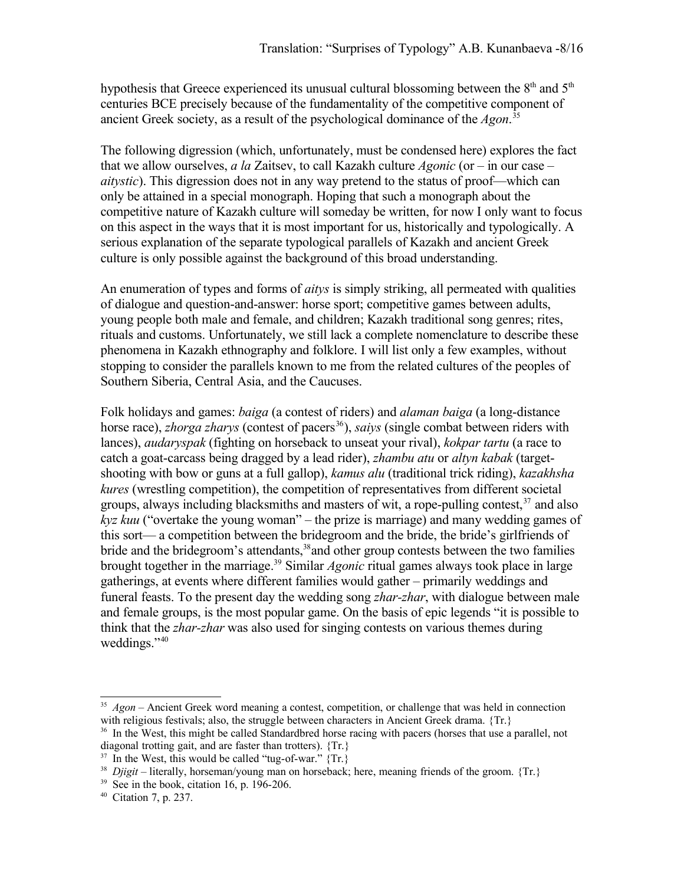hypothesis that Greece experienced its unusual cultural blossoming between the  $8<sup>th</sup>$  and  $5<sup>th</sup>$ centuries BCE precisely because of the fundamentality of the competitive component of ancient Greek society, as a result of the psychological dominance of the *Agon*.<sup>[35](#page-7-0)</sup>

The following digression (which, unfortunately, must be condensed here) explores the fact that we allow ourselves, *a la* Zaitsev, to call Kazakh culture *Agonic* (or – in our case – *aitystic*). This digression does not in any way pretend to the status of proof—which can only be attained in a special monograph. Hoping that such a monograph about the competitive nature of Kazakh culture will someday be written, for now I only want to focus on this aspect in the ways that it is most important for us, historically and typologically. A serious explanation of the separate typological parallels of Kazakh and ancient Greek culture is only possible against the background of this broad understanding.

An enumeration of types and forms of *aitys* is simply striking, all permeated with qualities of dialogue and question-and-answer: horse sport; competitive games between adults, young people both male and female, and children; Kazakh traditional song genres; rites, rituals and customs. Unfortunately, we still lack a complete nomenclature to describe these phenomena in Kazakh ethnography and folklore. I will list only a few examples, without stopping to consider the parallels known to me from the related cultures of the peoples of Southern Siberia, Central Asia, and the Caucuses.

Folk holidays and games: *baiga* (a contest of riders) and *alaman baiga* (a long-distance horse race), *zhorga zharys* (contest of pacers<sup>[36](#page-7-1)</sup>), *saiys* (single combat between riders with lances), *audaryspak* (fighting on horseback to unseat your rival), *kokpar tartu* (a race to catch a goat-carcass being dragged by a lead rider), *zhambu atu* or *altyn kabak* (targetshooting with bow or guns at a full gallop), *kamus alu* (traditional trick riding), *kazakhsha kures* (wrestling competition), the competition of representatives from different societal groups, always including blacksmiths and masters of wit, a rope-pulling contest,<sup>[37](#page-7-2)</sup> and also *kyz kuu* ("overtake the young woman" – the prize is marriage) and many wedding games of this sort— a competition between the bridegroom and the bride, the bride's girlfriends of bride and the bridegroom's attendants,<sup>[38](#page-7-3)</sup> and other group contests between the two families brought together in the marriage.<sup>[39](#page-7-4)</sup> Similar *Agonic* ritual games always took place in large gatherings, at events where different families would gather – primarily weddings and funeral feasts. To the present day the wedding song *zhar-zhar*, with dialogue between male and female groups, is the most popular game. On the basis of epic legends "it is possible to think that the *zhar-zhar* was also used for singing contests on various themes during weddings."<sup>[40](#page-7-5)</sup>

<span id="page-7-0"></span><sup>&</sup>lt;sup>35</sup> Agon – Ancient Greek word meaning a contest, competition, or challenge that was held in connection with religious festivals; also, the struggle between characters in Ancient Greek drama. {Tr.} <sup>36</sup> In the West, this might be called Standardbred horse racing with pacers (horses that use a parallel, not diagonal trotting gait, and are faster than trotters). {Tr.}

<span id="page-7-2"></span><span id="page-7-1"></span> $37$  In the West, this would be called "tug-of-war."  $\{Tr. \}$ 

<span id="page-7-3"></span><sup>&</sup>lt;sup>38</sup> Djigit – literally, horseman/young man on horseback; here, meaning friends of the groom. {Tr.}

<span id="page-7-4"></span> $39$  See in the book, citation 16, p. 196-206.

<span id="page-7-5"></span><sup>40</sup> Citation 7, p. 237.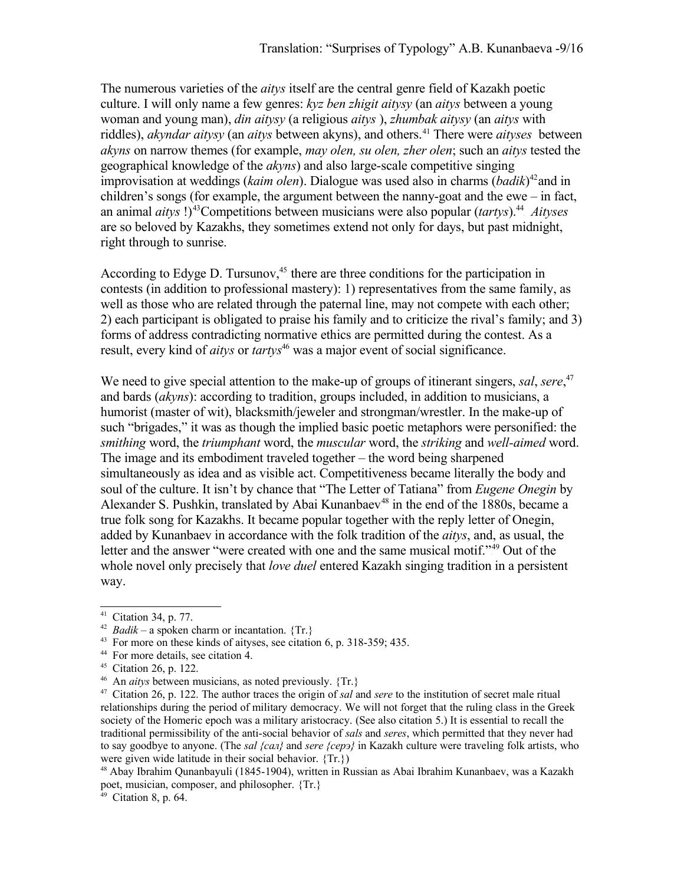The numerous varieties of the *aitys* itself are the central genre field of Kazakh poetic culture. I will only name a few genres: *kyz ben zhigit aitysy* (an *aitys* between a young woman and young man), *din aitysy* (a religious *aitys* ), *zhumbak aitysy* (an *aitys* with riddles), *akyndar aitysy* (an *aitys* between akyns), and others.<sup>[41](#page-8-0)</sup> There were *aityses* between *akyns* on narrow themes (for example, *may olen, su olen, zher olen*; such an *aitys* tested the geographical knowledge of the *akyns*) and also large-scale competitive singing improvisation at weddings (kaim olen). Dialogue was used also in charms (badik)<sup>[42](#page-8-1)</sup> and in children's songs (for example, the argument between the nanny-goat and the ewe – in fact, an animal *aitys* !)<sup>[43](#page-8-2)</sup>Competitions between musicians were also popular (*tartys*).<sup>[44](#page-8-3)</sup> Aityses are so beloved by Kazakhs, they sometimes extend not only for days, but past midnight, right through to sunrise.

According to Edyge D. Tursunov,<sup>[45](#page-8-4)</sup> there are three conditions for the participation in contests (in addition to professional mastery): 1) representatives from the same family, as well as those who are related through the paternal line, may not compete with each other; 2) each participant is obligated to praise his family and to criticize the rival's family; and 3) forms of address contradicting normative ethics are permitted during the contest. As a result, every kind of *aitys* or *tartys*<sup>[46](#page-8-5)</sup> was a major event of social significance.

We need to give special attention to the make-up of groups of itinerant singers, *sal*, *sere*, [47](#page-8-6) and bards (*akyns*): according to tradition, groups included, in addition to musicians, a humorist (master of wit), blacksmith/jeweler and strongman/wrestler. In the make-up of such "brigades," it was as though the implied basic poetic metaphors were personified: the *smithing* word, the *triumphant* word, the *muscular* word, the *striking* and *well-aimed* word. The image and its embodiment traveled together – the word being sharpened simultaneously as idea and as visible act. Competitiveness became literally the body and soul of the culture. It isn't by chance that "The Letter of Tatiana" from *Eugene Onegin* by Alexander S. Pushkin, translated by Abai Kunanbaev<sup>[48](#page-8-7)</sup> in the end of the 1880s, became a true folk song for Kazakhs. It became popular together with the reply letter of Onegin, added by Kunanbaev in accordance with the folk tradition of the *aitys*, and, as usual, the letter and the answer "were created with one and the same musical motif."<sup>[49](#page-8-8)</sup> Out of the whole novel only precisely that *love duel* entered Kazakh singing tradition in a persistent way.

<span id="page-8-0"></span><sup>41</sup> Citation 34, p. 77.

<span id="page-8-1"></span> $42$  *Badik* – a spoken charm or incantation. {Tr.}

<span id="page-8-2"></span><sup>43</sup> For more on these kinds of aityses, see citation 6, p. 318-359; 435.

<span id="page-8-3"></span><sup>44</sup> For more details, see citation 4.

<span id="page-8-4"></span><sup>45</sup> Citation 26, p. 122.

<span id="page-8-5"></span><sup>46</sup> An *aitys* between musicians, as noted previously. {Tr.}

<span id="page-8-6"></span><sup>47</sup> Citation 26, p. 122. The author traces the origin of *sal* and *sere* to the institution of secret male ritual relationships during the period of military democracy. We will not forget that the ruling class in the Greek society of the Homeric epoch was a military aristocracy. (See also citation 5.) It is essential to recall the traditional permissibility of the anti-social behavior of *sals* and *seres*, which permitted that they never had to say goodbye to anyone. (The *sal {сал}* and *sere {серэ}* in Kazakh culture were traveling folk artists, who were given wide latitude in their social behavior. {Tr.})

<span id="page-8-7"></span><sup>48</sup> Abay Ibrahim Qunanbayuli (1845-1904), written in Russian as Abai Ibrahim Kunanbaev, was a Kazakh poet, musician, composer, and philosopher. {Tr.}

<span id="page-8-8"></span> $49$  Citation 8, p. 64.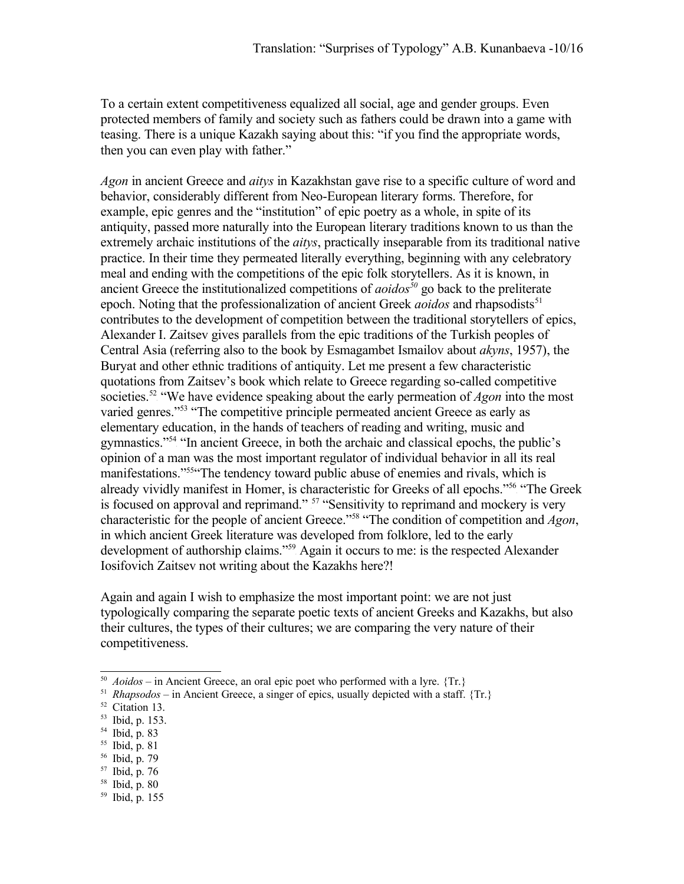To a certain extent competitiveness equalized all social, age and gender groups. Even protected members of family and society such as fathers could be drawn into a game with teasing. There is a unique Kazakh saying about this: "if you find the appropriate words, then you can even play with father."

*Agon* in ancient Greece and *aitys* in Kazakhstan gave rise to a specific culture of word and behavior, considerably different from Neo-European literary forms. Therefore, for example, epic genres and the "institution" of epic poetry as a whole, in spite of its antiquity, passed more naturally into the European literary traditions known to us than the extremely archaic institutions of the *aitys*, practically inseparable from its traditional native practice. In their time they permeated literally everything, beginning with any celebratory meal and ending with the competitions of the epic folk storytellers. As it is known, in ancient Greece the institutionalized competitions of *aoidos[50](#page-9-0)* go back to the preliterate epoch. Noting that the professionalization of ancient Greek *aoidos* and rhapsodists<sup>[51](#page-9-1)</sup> contributes to the development of competition between the traditional storytellers of epics, Alexander I. Zaitsev gives parallels from the epic traditions of the Turkish peoples of Central Asia (referring also to the book by Esmagambet Ismailov about *akyns*, 1957), the Buryat and other ethnic traditions of antiquity. Let me present a few characteristic quotations from Zaitsev's book which relate to Greece regarding so-called competitive societies.<sup>[52](#page-9-2)</sup> "We have evidence speaking about the early permeation of *Agon* into the most varied genres."<sup>[53](#page-9-3)</sup> "The competitive principle permeated ancient Greece as early as elementary education, in the hands of teachers of reading and writing, music and gymnastics."<sup>[54](#page-9-4)</sup> "In ancient Greece, in both the archaic and classical epochs, the public's opinion of a man was the most important regulator of individual behavior in all its real manifestations."<sup>[55](#page-9-5)"</sup>The tendency toward public abuse of enemies and rivals, which is already vividly manifest in Homer, is characteristic for Greeks of all epochs."<sup>[56](#page-9-6)</sup> "The Greek is focused on approval and reprimand." <sup>[57](#page-9-7)</sup> "Sensitivity to reprimand and mockery is very characteristic for the people of ancient Greece."[58](#page-9-8) "The condition of competition and *Agon*, in which ancient Greek literature was developed from folklore, led to the early development of authorship claims."<sup>[59](#page-9-9)</sup> Again it occurs to me: is the respected Alexander Iosifovich Zaitsev not writing about the Kazakhs here?!

Again and again I wish to emphasize the most important point: we are not just typologically comparing the separate poetic texts of ancient Greeks and Kazakhs, but also their cultures, the types of their cultures; we are comparing the very nature of their competitiveness.

- <span id="page-9-5"></span><sup>55</sup> Ibid, p. 81
- <span id="page-9-6"></span><sup>56</sup> Ibid, p. 79
- <span id="page-9-7"></span> $57$  Ibid, p. 76
- <span id="page-9-8"></span><sup>58</sup> Ibid, p. 80

<span id="page-9-0"></span><sup>&</sup>lt;sup>50</sup> *Aoidos* – in Ancient Greece, an oral epic poet who performed with a lyre. {Tr.}

<span id="page-9-1"></span><sup>&</sup>lt;sup>51</sup> *Rhapsodos* – in Ancient Greece, a singer of epics, usually depicted with a staff.  $\{Tr.\}$ 

<span id="page-9-2"></span><sup>52</sup> Citation 13.

<span id="page-9-3"></span><sup>53</sup> Ibid, p. 153.

<span id="page-9-4"></span><sup>54</sup> Ibid, p. 83

<span id="page-9-9"></span><sup>59</sup> Ibid, p. 155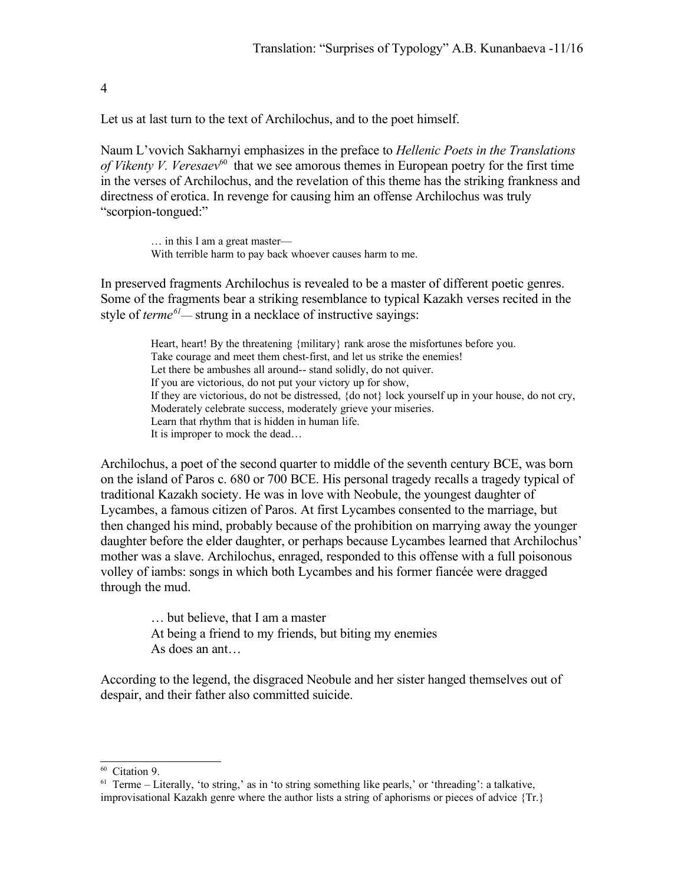4

Let us at last turn to the text of Archilochus, and to the poet himself.

Naum L'vovich Sakharnyi emphasizes in the preface to *Hellenic Poets in the Translations* of Vikenty V. Veresaev<sup>[60](#page-10-0)</sup> that we see amorous themes in European poetry for the first time in the verses of Archilochus, and the revelation of this theme has the striking frankness and directness of erotica. In revenge for causing him an offense Archilochus was truly "scorpion-tongued:"

> … in this I am a great master— With terrible harm to pay back whoever causes harm to me.

In preserved fragments Archilochus is revealed to be a master of different poetic genres. Some of the fragments bear a striking resemblance to typical Kazakh verses recited in the style of *terme*<sup>[61](#page-10-1)</sup>— strung in a necklace of instructive sayings:

> Heart, heart! By the threatening {military} rank arose the misfortunes before you. Take courage and meet them chest-first, and let us strike the enemies! Let there be ambushes all around-- stand solidly, do not quiver. If you are victorious, do not put your victory up for show, If they are victorious, do not be distressed, {do not} lock yourself up in your house, do not cry, Moderately celebrate success, moderately grieve your miseries. Learn that rhythm that is hidden in human life. It is improper to mock the dead…

Archilochus, a poet of the second quarter to middle of the seventh century BCE, was born on the island of Paros c. 680 or 700 BCE. His personal tragedy recalls a tragedy typical of traditional Kazakh society. He was in love with Neobule, the youngest daughter of Lycambes, a famous citizen of Paros. At first Lycambes consented to the marriage, but then changed his mind, probably because of the prohibition on marrying away the younger daughter before the elder daughter, or perhaps because Lycambes learned that Archilochus' mother was a slave. Archilochus, enraged, responded to this offense with a full poisonous volley of iambs: songs in which both Lycambes and his former fiancée were dragged through the mud.

> … but believe, that I am a master At being a friend to my friends, but biting my enemies As does an ant…

According to the legend, the disgraced Neobule and her sister hanged themselves out of despair, and their father also committed suicide.

<span id="page-10-0"></span><sup>60</sup> Citation 9.

<span id="page-10-1"></span><sup>&</sup>lt;sup>61</sup> Terme – Literally, 'to string,' as in 'to string something like pearls,' or 'threading': a talkative, improvisational Kazakh genre where the author lists a string of aphorisms or pieces of advice {Tr.}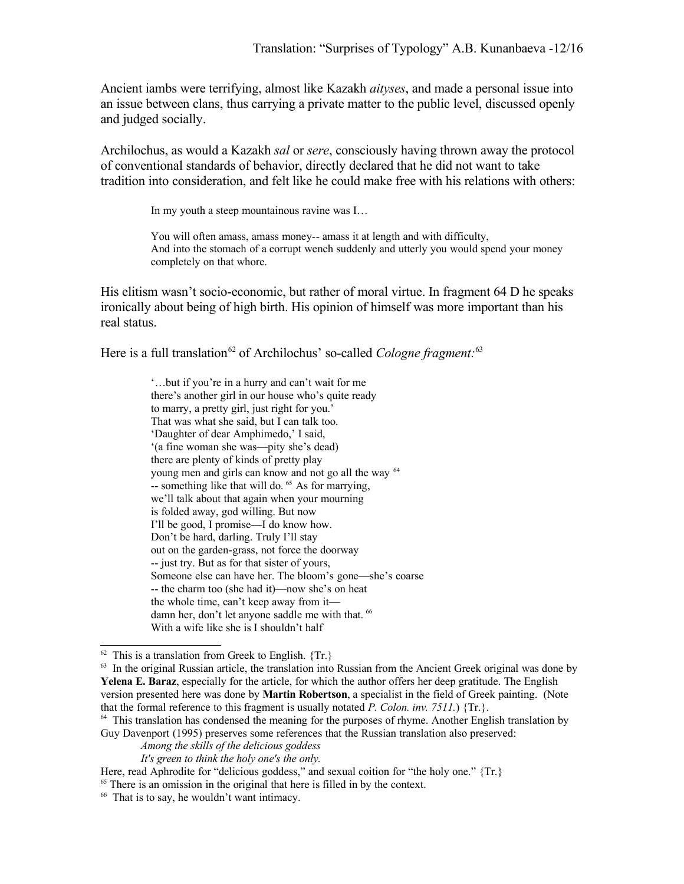Ancient iambs were terrifying, almost like Kazakh *aityses*, and made a personal issue into an issue between clans, thus carrying a private matter to the public level, discussed openly and judged socially.

Archilochus, as would a Kazakh *sal* or *sere*, consciously having thrown away the protocol of conventional standards of behavior, directly declared that he did not want to take tradition into consideration, and felt like he could make free with his relations with others:

In my youth a steep mountainous ravine was I…

You will often amass, amass money-- amass it at length and with difficulty, And into the stomach of a corrupt wench suddenly and utterly you would spend your money completely on that whore.

His elitism wasn't socio-economic, but rather of moral virtue. In fragment 64 D he speaks ironically about being of high birth. His opinion of himself was more important than his real status.

Here is a full translation<sup>[62](#page-11-0)</sup> of Archilochus' so-called *Cologne fragment*:<sup>[63](#page-11-1)</sup>

'…but if you're in a hurry and can't wait for me there's another girl in our house who's quite ready to marry, a pretty girl, just right for you.' That was what she said, but I can talk too. 'Daughter of dear Amphimedo,' I said, '(a fine woman she was—pity she's dead) there are plenty of kinds of pretty play young men and girls can know and not go all the way <sup>[64](#page-11-2)</sup> -- something like that will do.<sup>[65](#page-11-3)</sup> As for marrying, we'll talk about that again when your mourning is folded away, god willing. But now I'll be good, I promise—I do know how. Don't be hard, darling. Truly I'll stay out on the garden-grass, not force the doorway -- just try. But as for that sister of yours, Someone else can have her. The bloom's gone—she's coarse -- the charm too (she had it)—now she's on heat the whole time, can't keep away from it— damn her, don't let anyone saddle me with that. <sup>[66](#page-11-4)</sup> With a wife like she is I shouldn't half

<span id="page-11-0"></span> $62$  This is a translation from Greek to English.  $\{Tr.\}$ 

<span id="page-11-1"></span> $63$  In the original Russian article, the translation into Russian from the Ancient Greek original was done by **Yelena E. Baraz**, especially for the article, for which the author offers her deep gratitude. The English version presented here was done by **Martin Robertson**, a specialist in the field of Greek painting. (Note that the formal reference to this fragment is usually notated *P. Colon. inv. 7511.*) {Tr.}.

<span id="page-11-2"></span><sup>&</sup>lt;sup>64</sup> This translation has condensed the meaning for the purposes of rhyme. Another English translation by Guy Davenport (1995) preserves some references that the Russian translation also preserved:

*Among the skills of the delicious goddess*

*It's green to think the holy one's the only.*

Here, read Aphrodite for "delicious goddess," and sexual coition for "the holy one." {Tr.}

<span id="page-11-3"></span><sup>65</sup> There is an omission in the original that here is filled in by the context.

<span id="page-11-4"></span><sup>66</sup> That is to say, he wouldn't want intimacy.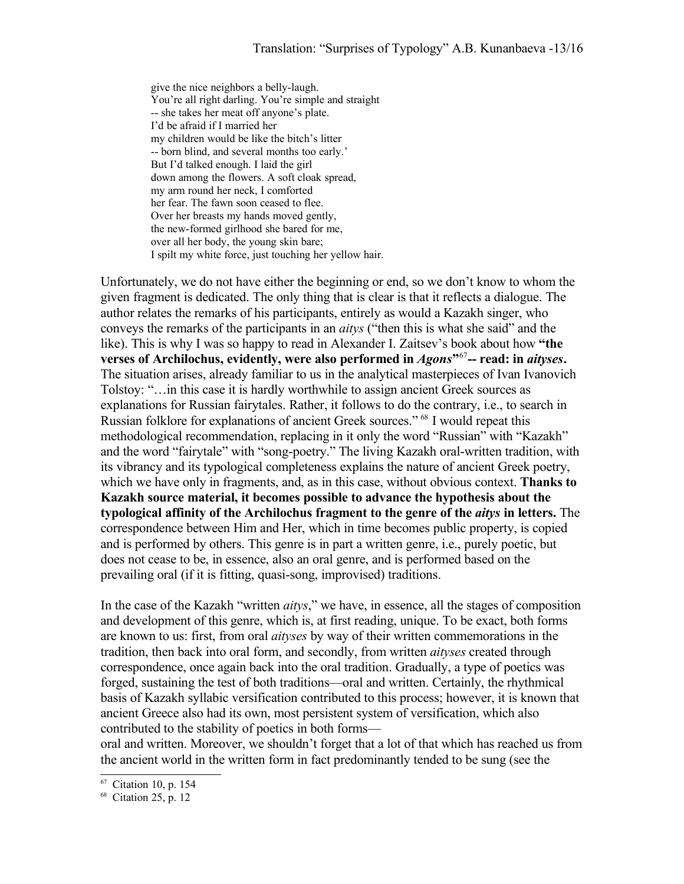give the nice neighbors a belly-laugh. You're all right darling. You're simple and straight -- she takes her meat off anyone's plate. I'd be afraid if I married her my children would be like the bitch's litter -- born blind, and several months too early.' But I'd talked enough. I laid the girl down among the flowers. A soft cloak spread, my arm round her neck, I comforted her fear. The fawn soon ceased to flee. Over her breasts my hands moved gently, the new-formed girlhood she bared for me, over all her body, the young skin bare; I spilt my white force, just touching her yellow hair.

Unfortunately, we do not have either the beginning or end, so we don't know to whom the given fragment is dedicated. The only thing that is clear is that it reflects a dialogue. The author relates the remarks of his participants, entirely as would a Kazakh singer, who conveys the remarks of the participants in an *aitys* ("then this is what she said" and the like). This is why I was so happy to read in Alexander I. Zaitsev's book about how **"the** verses of Archilochus, evidently, were also performed in *Agons*"<sup>[67](#page-12-0)</sup>-- read: in *aityses*. The situation arises, already familiar to us in the analytical masterpieces of Ivan Ivanovich Tolstoy: "…in this case it is hardly worthwhile to assign ancient Greek sources as explanations for Russian fairytales. Rather, it follows to do the contrary, i.e., to search in Russian folklore for explanations of ancient Greek sources."<sup>[68](#page-12-1)</sup> I would repeat this methodological recommendation, replacing in it only the word "Russian" with "Kazakh" and the word "fairytale" with "song-poetry." The living Kazakh oral-written tradition, with its vibrancy and its typological completeness explains the nature of ancient Greek poetry, which we have only in fragments, and, as in this case, without obvious context. **Thanks to Kazakh source material, it becomes possible to advance the hypothesis about the typological affinity of the Archilochus fragment to the genre of the** *aitys* **in letters.** The correspondence between Him and Her, which in time becomes public property, is copied and is performed by others. This genre is in part a written genre, i.e., purely poetic, but does not cease to be, in essence, also an oral genre, and is performed based on the prevailing oral (if it is fitting, quasi-song, improvised) traditions.

In the case of the Kazakh "written *aitys*," we have, in essence, all the stages of composition and development of this genre, which is, at first reading, unique. To be exact, both forms are known to us: first, from oral *aityses* by way of their written commemorations in the tradition, then back into oral form, and secondly, from written *aityses* created through correspondence, once again back into the oral tradition. Gradually, a type of poetics was forged, sustaining the test of both traditions—oral and written. Certainly, the rhythmical basis of Kazakh syllabic versification contributed to this process; however, it is known that ancient Greece also had its own, most persistent system of versification, which also contributed to the stability of poetics in both forms—

oral and written. Moreover, we shouldn't forget that a lot of that which has reached us from the ancient world in the written form in fact predominantly tended to be sung (see the

<span id="page-12-0"></span><sup>67</sup> Citation 10, p. 154

<span id="page-12-1"></span><sup>68</sup> Citation 25, p. 12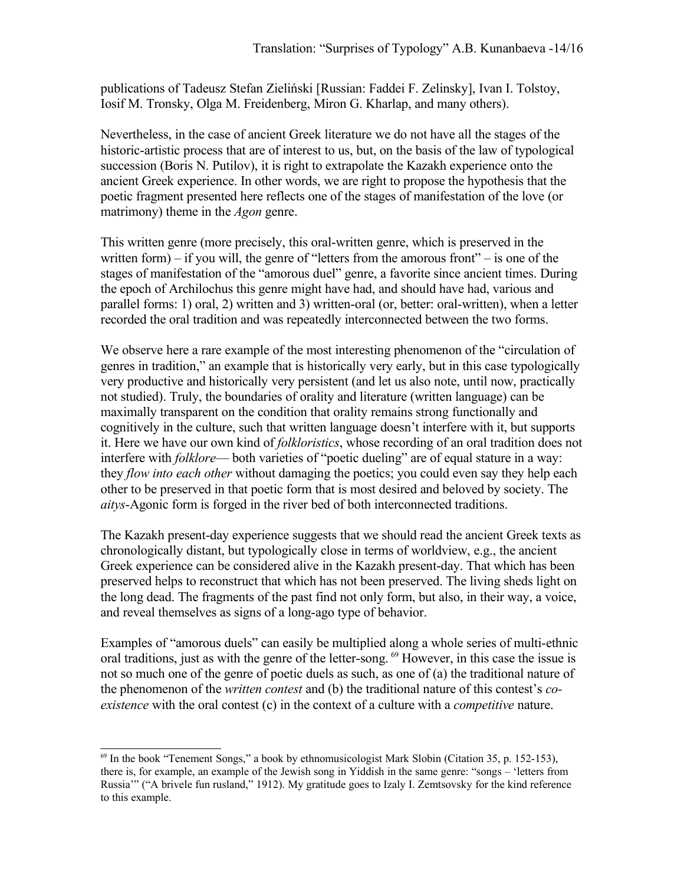publications of Tadeusz Stefan Zieliński [Russian: Faddei F. Zelinsky], Ivan I. Tolstoy, Iosif M. Tronsky, Olga M. Freidenberg, Miron G. Kharlap, and many others).

Nevertheless, in the case of ancient Greek literature we do not have all the stages of the historic-artistic process that are of interest to us, but, on the basis of the law of typological succession (Boris N. Putilov), it is right to extrapolate the Kazakh experience onto the ancient Greek experience. In other words, we are right to propose the hypothesis that the poetic fragment presented here reflects one of the stages of manifestation of the love (or matrimony) theme in the *Agon* genre.

This written genre (more precisely, this oral-written genre, which is preserved in the written form) – if you will, the genre of "letters from the amorous front" – is one of the stages of manifestation of the "amorous duel" genre, a favorite since ancient times. During the epoch of Archilochus this genre might have had, and should have had, various and parallel forms: 1) oral, 2) written and 3) written-oral (or, better: oral-written), when a letter recorded the oral tradition and was repeatedly interconnected between the two forms.

We observe here a rare example of the most interesting phenomenon of the "circulation of genres in tradition," an example that is historically very early, but in this case typologically very productive and historically very persistent (and let us also note, until now, practically not studied). Truly, the boundaries of orality and literature (written language) can be maximally transparent on the condition that orality remains strong functionally and cognitively in the culture, such that written language doesn't interfere with it, but supports it. Here we have our own kind of *folkloristics*, whose recording of an oral tradition does not interfere with *folklore*— both varieties of "poetic dueling" are of equal stature in a way: they *flow into each other* without damaging the poetics; you could even say they help each other to be preserved in that poetic form that is most desired and beloved by society. The *aitys*-Agonic form is forged in the river bed of both interconnected traditions.

The Kazakh present-day experience suggests that we should read the ancient Greek texts as chronologically distant, but typologically close in terms of worldview, e.g., the ancient Greek experience can be considered alive in the Kazakh present-day. That which has been preserved helps to reconstruct that which has not been preserved. The living sheds light on the long dead. The fragments of the past find not only form, but also, in their way, a voice, and reveal themselves as signs of a long-ago type of behavior.

Examples of "amorous duels" can easily be multiplied along a whole series of multi-ethnic oral traditions, just as with the genre of the letter-song. <sup>[69](#page-13-0)</sup> However, in this case the issue is not so much one of the genre of poetic duels as such, as one of (a) the traditional nature of the phenomenon of the *written contest* and (b) the traditional nature of this contest's *coexistence* with the oral contest (c) in the context of a culture with a *competitive* nature.

<span id="page-13-0"></span> $69$  In the book "Tenement Songs," a book by ethnomusicologist Mark Slobin (Citation 35, p. 152-153), there is, for example, an example of the Jewish song in Yiddish in the same genre: "songs – 'letters from Russia'" ("A brivele fun rusland," 1912). My gratitude goes to Izaly I. Zemtsovsky for the kind reference to this example.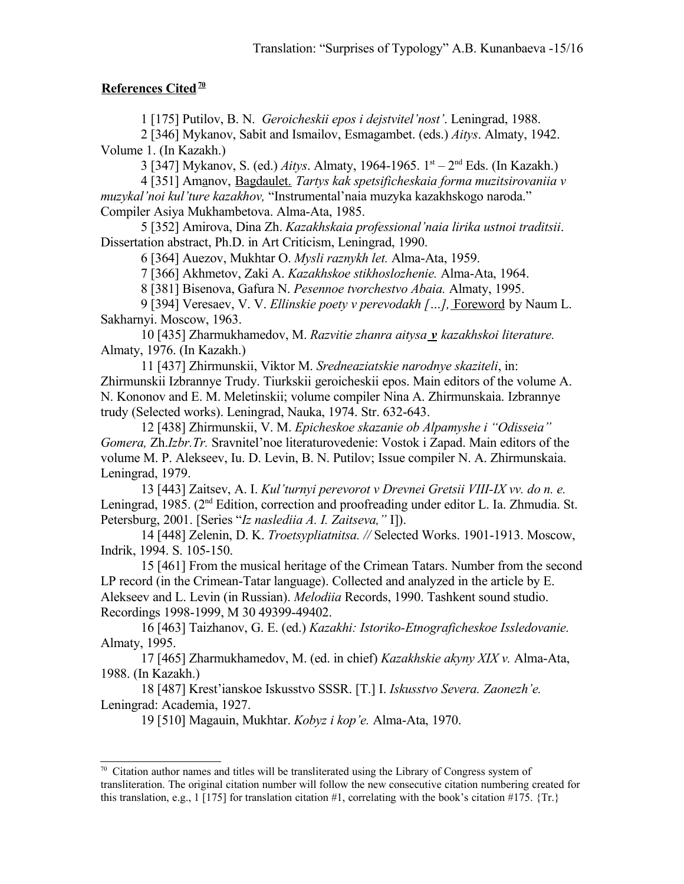## **References Cited**<sup>[70](#page-14-0)</sup>

1 [175] Putilov, B. N. *Geroicheskii epos i dejstvitel'nost'*. Leningrad, 1988.

2 [346] Mykanov, Sabit and Ismailov, Esmagambet. (eds.) *Aitys*. Almaty, 1942. Volume 1. (In Kazakh.)

3 [347] Mykanov, S. (ed.) *Aitys*. Almaty, 1964-1965. 1st – 2nd Eds. (In Kazakh.)

4 [351] Amanov, Bagdaulet. *Tartys kak spetsificheskaia forma muzitsirovaniia v muzykal'noi kul'ture kazakhov,* "Instrumental'naia muzyka kazakhskogo naroda." Compiler Asiya Mukhambetova. Alma-Ata, 1985.

5 [352] Amirova, Dina Zh. *Kazakhskaia professional'naia lirika ustnoi traditsii*. Dissertation abstract, Ph.D. in Art Criticism, Leningrad, 1990.

6 [364] Auezov, Mukhtar O. *Mysli raznykh let.* Alma-Ata, 1959.

7 [366] Akhmetov, Zaki A. *Kazakhskoe stikhoslozhenie.* Alma-Ata, 1964.

8 [381] Bisenova, Gafura N. *Pesennoe tvorchestvo Abaia.* Almaty, 1995.

9 [394] Veresaev, V. V. *Ellinskie poety v perevodakh […]*, Foreword by Naum L. Sakharnyi. Moscow, 1963.

10 [435] Zharmukhamedov, M. *Razvitie zhanra aitysa* v kazakhskoi literature. Almaty, 1976. (In Kazakh.)

11 [437] Zhirmunskii, Viktor M. *Sredneaziatskie narodnye skaziteli*, in: Zhirmunskii Izbrannye Trudy. Tiurkskii geroicheskii epos. Main editors of the volume A. N. Kononov and E. M. Meletinskii; volume compiler Nina A. Zhirmunskaia. Izbrannye trudy (Selected works). Leningrad, Nauka, 1974. Str. 632-643.

12 [438] Zhirmunskii, V. M. *Epicheskoe skazanie ob Alpamyshe i "Odisseiа" Gomera,* Zh.*Izbr.Tr.* Sravnitel'noe literaturovedenie: Vostok i Zapad. Main editors of the volume M. P. Alekseev, Iu. D. Levin, B. N. Putilov; Issue compiler N. A. Zhirmunskaia. Leningrad, 1979.

13 [443] Zaitsev, A. I. *Kul'turnyi perevorot v Drevnei Gretsii VIII-IX vv. do n. e.* Leningrad, 1985. (2<sup>nd</sup> Edition, correction and proofreading under editor L. Ia. Zhmudia. St. Petersburg, 2001. [Series "*Iz naslediia A. I. Zaitseva,"* I]).

14 [448] Zelenin, D. K. *Troetsypliatnitsa. //* Selected Works. 1901-1913. Moscow, Indrik, 1994. S. 105-150.

15 [461] From the musical heritage of the Crimean Tatars. Number from the second LP record (in the Crimean-Tatar language). Collected and analyzed in the article by E. Alekseev and L. Levin (in Russian). *Melodiia* Records, 1990. Tashkent sound studio. Recordings 1998-1999, M 30 49399-49402.

16 [463] Taizhanov, G. E. (ed.) *Kazakhi: Istoriko-Etnograficheskoe Issledovanie.* Almaty, 1995.

17 [465] Zharmukhamedov, M. (ed. in chief) *Kazakhskie akyny XIX v.* Alma-Ata, 1988. (In Kazakh.)

18 [487] Krest'ianskoe Iskusstvo SSSR. [T.] I. *Iskusstvo Severa. Zaonezh'e.* Leningrad: Academia, 1927.

19 [510] Magauin, Mukhtar. *Kobyz i kop'e.* Alma-Ata, 1970.

<span id="page-14-0"></span> $70$  Citation author names and titles will be transliterated using the Library of Congress system of transliteration. The original citation number will follow the new consecutive citation numbering created for this translation, e.g., 1 [175] for translation citation #1, correlating with the book's citation #175.  $\{Tr.\}$